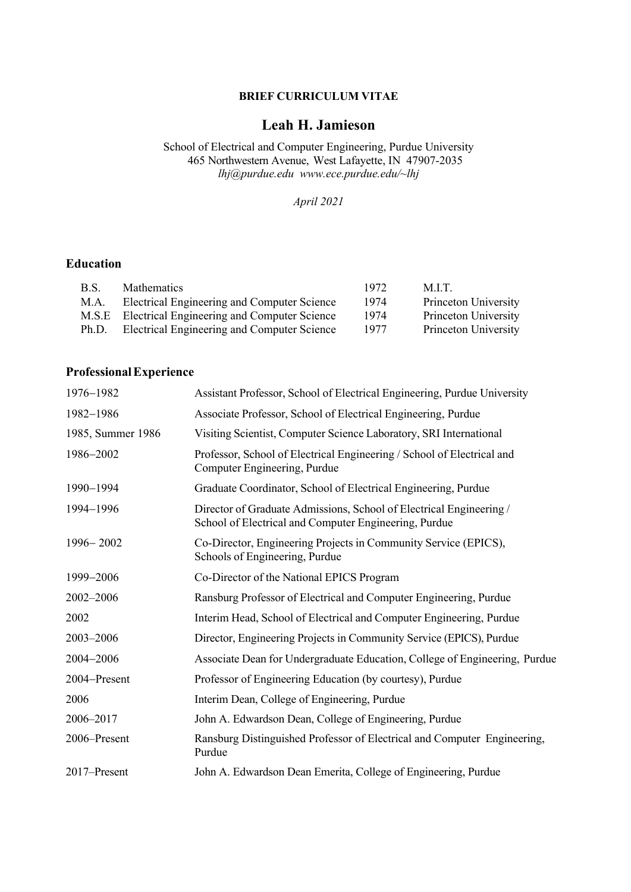## **BRIEF CURRICULUM VITAE**

# **Leah H. Jamieson**

School of Electrical and Computer Engineering, Purdue University 465 Northwestern Avenue, West Lafayette, IN 47907-2035 *lhj@purdue.edu www.ece.purdue.edu/~lhj*

*April 2021*

## **Education**

| B.S.  | <b>Mathematics</b>                                | 1972. | M.LT.                |
|-------|---------------------------------------------------|-------|----------------------|
| M.A.  | Electrical Engineering and Computer Science       | 1974  | Princeton University |
|       | M.S.E Electrical Engineering and Computer Science | 1974  | Princeton University |
| Ph.D. | Electrical Engineering and Computer Science       | 1977  | Princeton University |

## **ProfessionalExperience**

| 1976-1982         | Assistant Professor, School of Electrical Engineering, Purdue University                                                     |
|-------------------|------------------------------------------------------------------------------------------------------------------------------|
| 1982-1986         | Associate Professor, School of Electrical Engineering, Purdue                                                                |
| 1985, Summer 1986 | Visiting Scientist, Computer Science Laboratory, SRI International                                                           |
| 1986-2002         | Professor, School of Electrical Engineering / School of Electrical and<br>Computer Engineering, Purdue                       |
| 1990-1994         | Graduate Coordinator, School of Electrical Engineering, Purdue                                                               |
| 1994-1996         | Director of Graduate Admissions, School of Electrical Engineering /<br>School of Electrical and Computer Engineering, Purdue |
| 1996-2002         | Co-Director, Engineering Projects in Community Service (EPICS),<br>Schools of Engineering, Purdue                            |
| 1999-2006         | Co-Director of the National EPICS Program                                                                                    |
| 2002-2006         | Ransburg Professor of Electrical and Computer Engineering, Purdue                                                            |
| 2002              | Interim Head, School of Electrical and Computer Engineering, Purdue                                                          |
| 2003-2006         | Director, Engineering Projects in Community Service (EPICS), Purdue                                                          |
| 2004-2006         | Associate Dean for Undergraduate Education, College of Engineering, Purdue                                                   |
| 2004-Present      | Professor of Engineering Education (by courtesy), Purdue                                                                     |
| 2006              | Interim Dean, College of Engineering, Purdue                                                                                 |
| 2006-2017         | John A. Edwardson Dean, College of Engineering, Purdue                                                                       |
| 2006–Present      | Ransburg Distinguished Professor of Electrical and Computer Engineering,<br>Purdue                                           |
| 2017-Present      | John A. Edwardson Dean Emerita, College of Engineering, Purdue                                                               |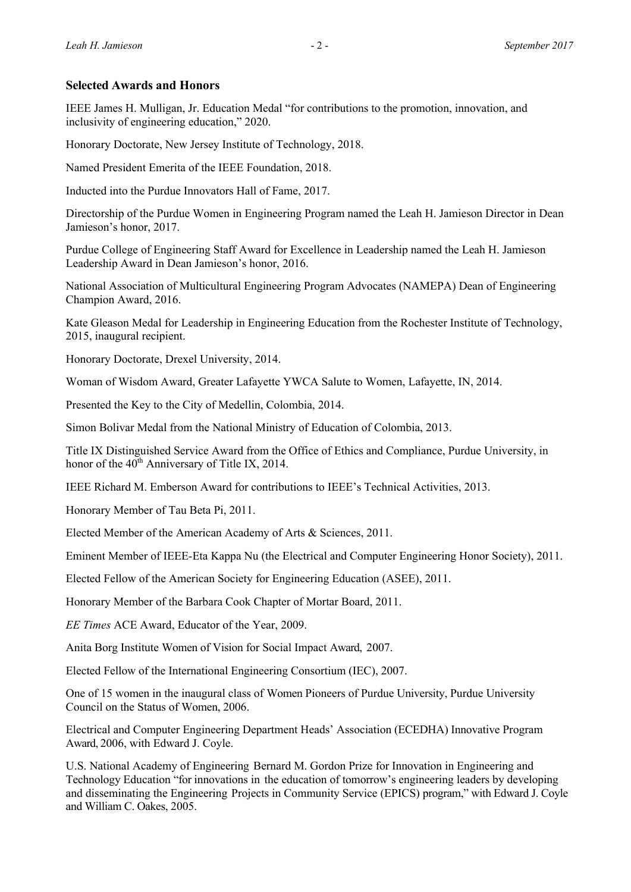## **Selected Awards and Honors**

IEEE James H. Mulligan, Jr. Education Medal "for contributions to the promotion, innovation, and inclusivity of engineering education," 2020.

Honorary Doctorate, New Jersey Institute of Technology, 2018.

Named President Emerita of the IEEE Foundation, 2018.

Inducted into the Purdue Innovators Hall of Fame, 2017.

Directorship of the Purdue Women in Engineering Program named the Leah H. Jamieson Director in Dean Jamieson's honor, 2017.

Purdue College of Engineering Staff Award for Excellence in Leadership named the Leah H. Jamieson Leadership Award in Dean Jamieson's honor, 2016.

National Association of Multicultural Engineering Program Advocates (NAMEPA) Dean of Engineering Champion Award, 2016.

Kate Gleason Medal for Leadership in Engineering Education from the Rochester Institute of Technology, 2015, inaugural recipient.

Honorary Doctorate, Drexel University, 2014.

Woman of Wisdom Award, Greater Lafayette YWCA Salute to Women, Lafayette, IN, 2014.

Presented the Key to the City of Medellin, Colombia, 2014.

Simon Bolivar Medal from the National Ministry of Education of Colombia, 2013.

Title IX Distinguished Service Award from the Office of Ethics and Compliance, Purdue University, in honor of the  $40^{th}$  Anniversary of Title IX, 2014.

IEEE Richard M. Emberson Award for contributions to IEEE's Technical Activities, 2013.

Honorary Member of Tau Beta Pi, 2011.

Elected Member of the American Academy of Arts & Sciences, 2011.

Eminent Member of IEEE-Eta Kappa Nu (the Electrical and Computer Engineering Honor Society), 2011.

Elected Fellow of the American Society for Engineering Education (ASEE), 2011.

Honorary Member of the Barbara Cook Chapter of Mortar Board, 2011.

*EE Times* ACE Award, Educator of the Year, 2009.

Anita Borg Institute Women of Vision for Social Impact Award, 2007.

Elected Fellow of the International Engineering Consortium (IEC), 2007.

One of 15 women in the inaugural class of Women Pioneers of Purdue University, Purdue University Council on the Status of Women, 2006.

Electrical and Computer Engineering Department Heads' Association (ECEDHA) Innovative Program Award, 2006, with Edward J. Coyle.

U.S. National Academy of Engineering Bernard M. Gordon Prize for Innovation in Engineering and Technology Education "for innovations in the education of tomorrow's engineering leaders by developing and disseminating the Engineering Projects in Community Service (EPICS) program," with Edward J. Coyle and William C. Oakes, 2005.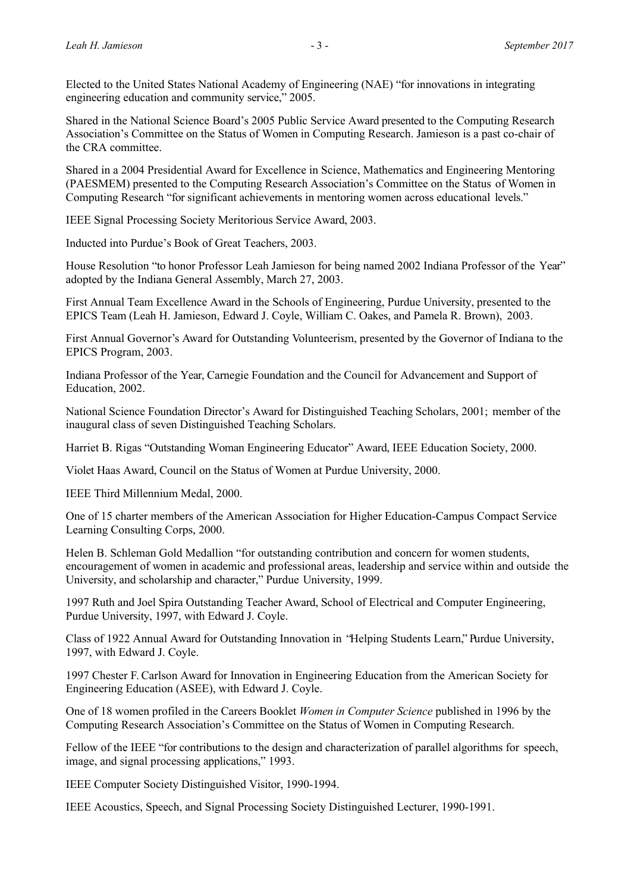Elected to the United States National Academy of Engineering (NAE) "for innovations in integrating engineering education and community service," 2005.

Shared in the National Science Board's 2005 Public Service Award presented to the Computing Research Association's Committee on the Status of Women in Computing Research. Jamieson is a past co-chair of the CRA committee.

Shared in a 2004 Presidential Award for Excellence in Science, Mathematics and Engineering Mentoring (PAESMEM) presented to the Computing Research Association's Committee on the Status of Women in Computing Research "for significant achievements in mentoring women across educational levels."

IEEE Signal Processing Society Meritorious Service Award, 2003.

Inducted into Purdue's Book of Great Teachers, 2003.

House Resolution "to honor Professor Leah Jamieson for being named 2002 Indiana Professor of the Year" adopted by the Indiana General Assembly, March 27, 2003.

First Annual Team Excellence Award in the Schools of Engineering, Purdue University, presented to the EPICS Team (Leah H. Jamieson, Edward J. Coyle, William C. Oakes, and Pamela R. Brown), 2003.

First Annual Governor's Award for Outstanding Volunteerism, presented by the Governor of Indiana to the EPICS Program, 2003.

Indiana Professor of the Year, Carnegie Foundation and the Council for Advancement and Support of Education, 2002.

National Science Foundation Director's Award for Distinguished Teaching Scholars, 2001; member of the inaugural class of seven Distinguished Teaching Scholars.

Harriet B. Rigas "Outstanding Woman Engineering Educator" Award, IEEE Education Society, 2000.

Violet Haas Award, Council on the Status of Women at Purdue University, 2000.

IEEE Third Millennium Medal, 2000.

One of 15 charter members of the American Association for Higher Education-Campus Compact Service Learning Consulting Corps, 2000.

Helen B. Schleman Gold Medallion "for outstanding contribution and concern for women students, encouragement of women in academic and professional areas, leadership and service within and outside the University, and scholarship and character," Purdue University, 1999.

1997 Ruth and Joel Spira Outstanding Teacher Award, School of Electrical and Computer Engineering, Purdue University, 1997, with Edward J. Coyle.

Class of 1922 Annual Award for Outstanding Innovation in "Helping Students Learn," Purdue University, 1997, with Edward J. Coyle.

1997 Chester F. Carlson Award for Innovation in Engineering Education from the American Society for Engineering Education (ASEE), with Edward J. Coyle.

One of 18 women profiled in the Careers Booklet *Women in Computer Science* published in 1996 by the Computing Research Association's Committee on the Status of Women in Computing Research.

Fellow of the IEEE "for contributions to the design and characterization of parallel algorithms for speech, image, and signal processing applications," 1993.

IEEE Computer Society Distinguished Visitor, 1990-1994.

IEEE Acoustics, Speech, and Signal Processing Society Distinguished Lecturer, 1990-1991.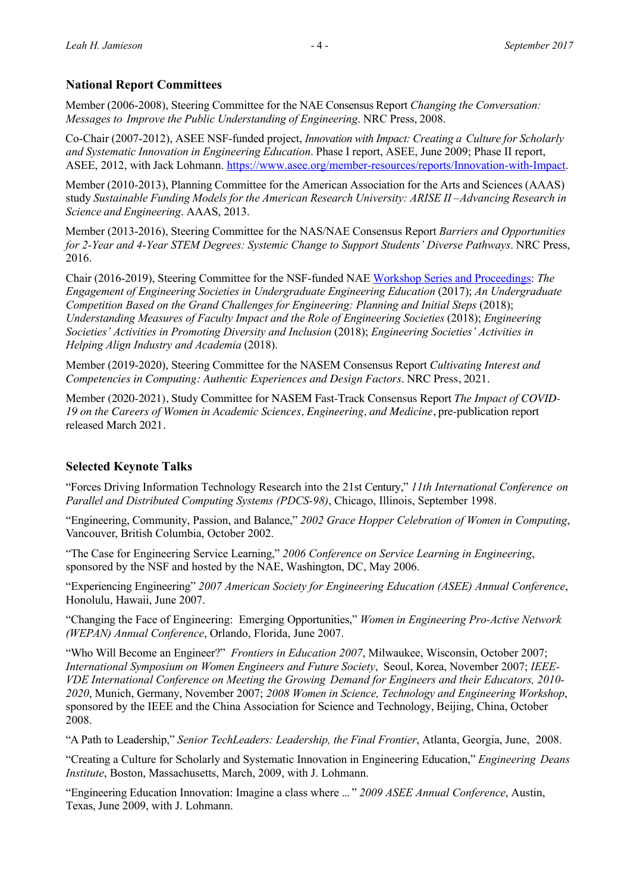## **National Report Committees**

Member (2006-2008), Steering Committee for the NAE Consensus Report *Changing the Conversation: Messages to Improve the Public Understanding of Engineering*. NRC Press, 2008.

Co-Chair (2007-2012), ASEE NSF-funded project, *Innovation with Impact: Creating a Culture for Scholarly and Systematic Innovation in Engineering Education*. Phase I report, ASEE, June 2009; Phase II report, ASEE, 2012, with Jack Lohmann. https://www.asee.org/member-resources/reports/Innovation-with-Impact.

Member (2010-2013), Planning Committee for the American Association for the Arts and Sciences (AAAS) study *Sustainable Funding Models for the American Research University: ARISE II –Advancing Research in Science and Engineering*. AAAS, 2013.

Member (2013-2016), Steering Committee for the NAS/NAE Consensus Report *Barriers and Opportunities for 2-Year and 4-Year STEM Degrees: Systemic Change to Support Students' Diverse Pathways*. NRC Press, 2016.

Chair (2016-2019), Steering Committee for the NSF-funded NAE Workshop Series and Proceedings: *The Engagement of Engineering Societies in Undergraduate Engineering Education* (2017); *An Undergraduate Competition Based on the Grand Challenges for Engineering: Planning and Initial Steps (2018); Understanding Measures of Faculty Impact and the Role of Engineering Societies* (2018); *Engineering Societies' Activities in Promoting Diversity and Inclusion* (2018); *Engineering Societies' Activities in Helping Align Industry and Academia* (2018).

Member (2019-2020), Steering Committee for the NASEM Consensus Report *Cultivating Interest and Competencies in Computing: Authentic Experiences and Design Factors*. NRC Press, 2021*.*

Member (2020-2021), Study Committee for NASEM Fast-Track Consensus Report *The Impact of COVID-19 on the Careers of Women in Academic Sciences, Engineering, and Medicine*, pre-publication report released March 2021.

## **Selected Keynote Talks**

"Forces Driving Information Technology Research into the 21st Century," *11th International Conference on Parallel and Distributed Computing Systems (PDCS-98)*, Chicago, Illinois, September 1998.

"Engineering, Community, Passion, and Balance," *2002 Grace Hopper Celebration of Women in Computing*, Vancouver, British Columbia, October 2002.

"The Case for Engineering Service Learning," *2006 Conference on Service Learning in Engineering*, sponsored by the NSF and hosted by the NAE, Washington, DC, May 2006.

"Experiencing Engineering" *2007 American Society for Engineering Education (ASEE) Annual Conference*, Honolulu, Hawaii, June 2007.

"Changing the Face of Engineering: Emerging Opportunities," *Women in Engineering Pro-Active Network (WEPAN) Annual Conference*, Orlando, Florida, June 2007.

"Who Will Become an Engineer?" *Frontiers in Education 2007*, Milwaukee, Wisconsin, October 2007; *International Symposium on Women Engineers and Future Society*, Seoul, Korea, November 2007; *IEEE-VDE International Conference on Meeting the Growing Demand for Engineers and their Educators, 2010- 2020*, Munich, Germany, November 2007; *2008 Women in Science, Technology and Engineering Workshop*, sponsored by the IEEE and the China Association for Science and Technology, Beijing, China, October 2008.

"A Path to Leadership," *Senior TechLeaders: Leadership, the Final Frontier*, Atlanta, Georgia, June, 2008.

"Creating a Culture for Scholarly and Systematic Innovation in Engineering Education," *Engineering Deans Institute*, Boston, Massachusetts, March, 2009, with J. Lohmann.

"Engineering Education Innovation: Imagine a class where ... " *2009 ASEE Annual Conference*, Austin, Texas, June 2009, with J. Lohmann.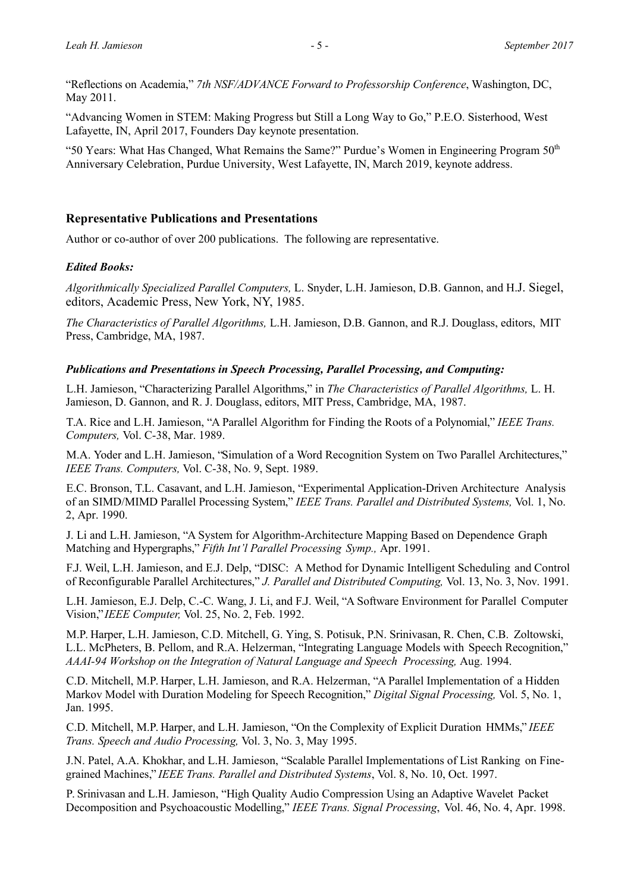"Reflections on Academia," *7th NSF/ADVANCE Forward to Professorship Conference*, Washington, DC, May 2011.

"Advancing Women in STEM: Making Progress but Still a Long Way to Go," P.E.O. Sisterhood, West Lafayette, IN, April 2017, Founders Day keynote presentation.

"50 Years: What Has Changed, What Remains the Same?" Purdue's Women in Engineering Program 50<sup>th</sup> Anniversary Celebration, Purdue University, West Lafayette, IN, March 2019, keynote address.

### **Representative Publications and Presentations**

Author or co-author of over 200 publications. The following are representative.

#### *Edited Books:*

*Algorithmically Specialized Parallel Computers,* L. Snyder, L.H. Jamieson, D.B. Gannon, and H.J. Siegel, editors, Academic Press, New York, NY, 1985.

*The Characteristics of Parallel Algorithms,* L.H. Jamieson, D.B. Gannon, and R.J. Douglass, editors, MIT Press, Cambridge, MA, 1987.

#### *Publications and Presentations in Speech Processing, Parallel Processing, and Computing:*

L.H. Jamieson, "Characterizing Parallel Algorithms," in *The Characteristics of Parallel Algorithms,* L. H. Jamieson, D. Gannon, and R. J. Douglass, editors, MIT Press, Cambridge, MA, 1987.

T.A. Rice and L.H. Jamieson, "A Parallel Algorithm for Finding the Roots of a Polynomial," *IEEE Trans. Computers,* Vol. C-38, Mar. 1989.

M.A. Yoder and L.H. Jamieson, "Simulation of a Word Recognition System on Two Parallel Architectures," *IEEE Trans. Computers,* Vol. C-38, No. 9, Sept. 1989.

E.C. Bronson, T.L. Casavant, and L.H. Jamieson, "Experimental Application-Driven Architecture Analysis of an SIMD/MIMD Parallel Processing System," *IEEE Trans. Parallel and Distributed Systems,* Vol. 1, No. 2, Apr. 1990.

J. Li and L.H. Jamieson, "A System for Algorithm-Architecture Mapping Based on Dependence Graph Matching and Hypergraphs," *Fifth Int'l Parallel Processing Symp.,* Apr. 1991.

F.J. Weil, L.H. Jamieson, and E.J. Delp, "DISC: A Method for Dynamic Intelligent Scheduling and Control of Reconfigurable Parallel Architectures," *J. Parallel and Distributed Computing,* Vol. 13, No. 3, Nov. 1991.

L.H. Jamieson, E.J. Delp, C.-C. Wang, J. Li, and F.J. Weil, "A Software Environment for Parallel Computer Vision," *IEEE Computer,* Vol. 25, No. 2, Feb. 1992.

M.P. Harper, L.H. Jamieson, C.D. Mitchell, G. Ying, S. Potisuk, P.N. Srinivasan, R. Chen, C.B. Zoltowski, L.L. McPheters, B. Pellom, and R.A. Helzerman, "Integrating Language Models with Speech Recognition," *AAAI-94 Workshop on the Integration of Natural Language and Speech Processing,* Aug. 1994.

C.D. Mitchell, M.P. Harper, L.H. Jamieson, and R.A. Helzerman, "A Parallel Implementation of a Hidden Markov Model with Duration Modeling for Speech Recognition," *Digital Signal Processing,* Vol. 5, No. 1, Jan. 1995.

C.D. Mitchell, M.P. Harper, and L.H. Jamieson, "On the Complexity of Explicit Duration HMMs," *IEEE Trans. Speech and Audio Processing,* Vol. 3, No. 3, May 1995.

J.N. Patel, A.A. Khokhar, and L.H. Jamieson, "Scalable Parallel Implementations of List Ranking on Finegrained Machines," *IEEE Trans. Parallel and Distributed Systems*, Vol. 8, No. 10, Oct. 1997.

P. Srinivasan and L.H. Jamieson, "High Quality Audio Compression Using an Adaptive Wavelet Packet Decomposition and Psychoacoustic Modelling," *IEEE Trans. Signal Processing*, Vol. 46, No. 4, Apr. 1998.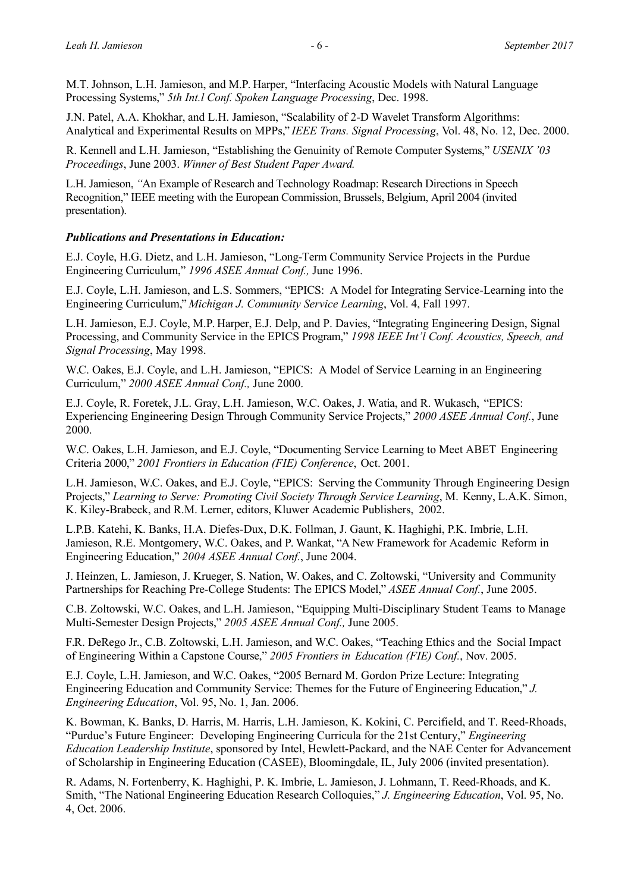M.T. Johnson, L.H. Jamieson, and M.P. Harper, "Interfacing Acoustic Models with Natural Language Processing Systems," *5th Int.l Conf. Spoken Language Processing*, Dec. 1998.

J.N. Patel, A.A. Khokhar, and L.H. Jamieson, "Scalability of 2-D Wavelet Transform Algorithms: Analytical and Experimental Results on MPPs," *IEEE Trans. Signal Processing*, Vol. 48, No. 12, Dec. 2000.

R. Kennell and L.H. Jamieson, "Establishing the Genuinity of Remote Computer Systems," *USENIX '03 Proceedings*, June 2003. *Winner of Best Student Paper Award.*

L.H. Jamieson, *"*An Example of Research and Technology Roadmap: Research Directions in Speech Recognition," IEEE meeting with the European Commission, Brussels, Belgium, April 2004 (invited presentation).

## *Publications and Presentations in Education:*

E.J. Coyle, H.G. Dietz, and L.H. Jamieson, "Long-Term Community Service Projects in the Purdue Engineering Curriculum," *1996 ASEE Annual Conf.,* June 1996.

E.J. Coyle, L.H. Jamieson, and L.S. Sommers, "EPICS: A Model for Integrating Service-Learning into the Engineering Curriculum," *Michigan J. Community Service Learning*, Vol. 4, Fall 1997.

L.H. Jamieson, E.J. Coyle, M.P. Harper, E.J. Delp, and P. Davies, "Integrating Engineering Design, Signal Processing, and Community Service in the EPICS Program," *1998 IEEE Int'l Conf. Acoustics, Speech, and Signal Processing*, May 1998.

W.C. Oakes, E.J. Coyle, and L.H. Jamieson, "EPICS: A Model of Service Learning in an Engineering Curriculum," *2000 ASEE Annual Conf.,* June 2000.

E.J. Coyle, R. Foretek, J.L. Gray, L.H. Jamieson, W.C. Oakes, J. Watia, and R. Wukasch, "EPICS: Experiencing Engineering Design Through Community Service Projects," *2000 ASEE Annual Conf.*, June 2000.

W.C. Oakes, L.H. Jamieson, and E.J. Coyle, "Documenting Service Learning to Meet ABET Engineering Criteria 2000," *2001 Frontiers in Education (FIE) Conference*, Oct. 2001.

L.H. Jamieson, W.C. Oakes, and E.J. Coyle, "EPICS: Serving the Community Through Engineering Design Projects," *Learning to Serve: Promoting Civil Society Through Service Learning*, M. Kenny, L.A.K. Simon, K. Kiley-Brabeck, and R.M. Lerner, editors, Kluwer Academic Publishers, 2002.

L.P.B. Katehi, K. Banks, H.A. Diefes-Dux, D.K. Follman, J. Gaunt, K. Haghighi, P.K. Imbrie, L.H. Jamieson, R.E. Montgomery, W.C. Oakes, and P. Wankat, "A New Framework for Academic Reform in Engineering Education," *2004 ASEE Annual Conf.*, June 2004.

J. Heinzen, L. Jamieson, J. Krueger, S. Nation, W. Oakes, and C. Zoltowski, "University and Community Partnerships for Reaching Pre-College Students: The EPICS Model," *ASEE Annual Conf.*, June 2005.

C.B. Zoltowski, W.C. Oakes, and L.H. Jamieson, "Equipping Multi-Disciplinary Student Teams to Manage Multi-Semester Design Projects," *2005 ASEE Annual Conf.,* June 2005.

F.R. DeRego Jr., C.B. Zoltowski, L.H. Jamieson, and W.C. Oakes, "Teaching Ethics and the Social Impact of Engineering Within a Capstone Course," *2005 Frontiers in Education (FIE) Conf.*, Nov. 2005.

E.J. Coyle, L.H. Jamieson, and W.C. Oakes, "2005 Bernard M. Gordon Prize Lecture: Integrating Engineering Education and Community Service: Themes for the Future of Engineering Education," *J. Engineering Education*, Vol. 95, No. 1, Jan. 2006.

K. Bowman, K. Banks, D. Harris, M. Harris, L.H. Jamieson, K. Kokini, C. Percifield, and T. Reed-Rhoads, "Purdue's Future Engineer: Developing Engineering Curricula for the 21st Century," *Engineering Education Leadership Institute*, sponsored by Intel, Hewlett-Packard, and the NAE Center for Advancement of Scholarship in Engineering Education (CASEE), Bloomingdale, IL, July 2006 (invited presentation).

R. Adams, N. Fortenberry, K. Haghighi, P. K. Imbrie, L. Jamieson, J. Lohmann, T. Reed-Rhoads, and K. Smith, "The National Engineering Education Research Colloquies," *J. Engineering Education*, Vol. 95, No. 4, Oct. 2006.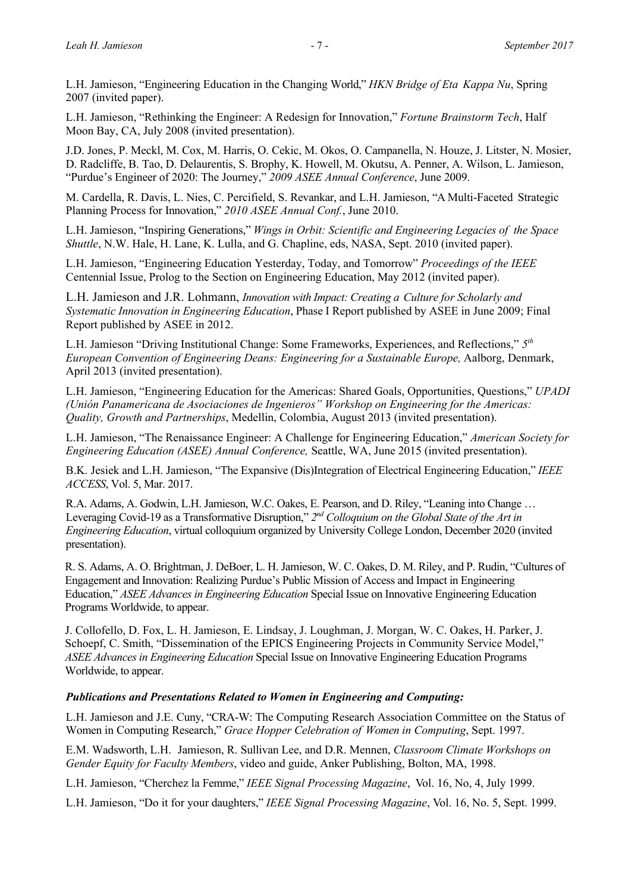L.H. Jamieson, "Engineering Education in the Changing World," *HKN Bridge of Eta Kappa Nu*, Spring 2007 (invited paper).

L.H. Jamieson, "Rethinking the Engineer: A Redesign for Innovation," *Fortune Brainstorm Tech*, Half Moon Bay, CA, July 2008 (invited presentation).

J.D. Jones, P. Meckl, M. Cox, M. Harris, O. Cekic, M. Okos, O. Campanella, N. Houze, J. Litster, N. Mosier, D. Radcliffe, B. Tao, D. Delaurentis, S. Brophy, K. Howell, M. Okutsu, A. Penner, A. Wilson, L. Jamieson, "Purdue's Engineer of 2020: The Journey," *2009 ASEE Annual Conference*, June 2009.

M. Cardella, R. Davis, L. Nies, C. Percifield, S. Revankar, and L.H. Jamieson, "A Multi-Faceted Strategic Planning Process for Innovation," *2010 ASEE Annual Conf.*, June 2010.

L.H. Jamieson, "Inspiring Generations," *Wings in Orbit: Scientific and Engineering Legacies of the Space Shuttle*, N.W. Hale, H. Lane, K. Lulla, and G. Chapline, eds, NASA, Sept. 2010 (invited paper).

L.H. Jamieson, "Engineering Education Yesterday, Today, and Tomorrow" *Proceedings of the IEEE* Centennial Issue, Prolog to the Section on Engineering Education, May 2012 (invited paper).

L.H. Jamieson and J.R. Lohmann, *Innovation with Impact: Creating a Culture for Scholarly and Systematic Innovation in Engineering Education*, Phase I Report published by ASEE in June 2009; Final Report published by ASEE in 2012.

L.H. Jamieson "Driving Institutional Change: Some Frameworks, Experiences, and Reflections," *5th European Convention of Engineering Deans: Engineering for a Sustainable Europe,* Aalborg, Denmark, April 2013 (invited presentation).

L.H. Jamieson, "Engineering Education for the Americas: Shared Goals, Opportunities, Questions," *UPADI (Unión Panamericana de Asociaciones de Ingenieros" Workshop on Engineering for the Americas: Quality, Growth and Partnerships*, Medellin, Colombia, August 2013 (invited presentation).

L.H. Jamieson, "The Renaissance Engineer: A Challenge for Engineering Education," *American Society for Engineering Education (ASEE) Annual Conference,* Seattle, WA, June 2015 (invited presentation).

B.K. Jesiek and L.H. Jamieson, "The Expansive (Dis)Integration of Electrical Engineering Education," *IEEE ACCESS*, Vol. 5, Mar. 2017.

R.A. Adams, A. Godwin, L.H. Jamieson, W.C. Oakes, E. Pearson, and D. Riley, "Leaning into Change … Leveraging Covid-19 as a Transformative Disruption," *2nd Colloquium on the Global State of the Art in Engineering Education*, virtual colloquium organized by University College London, December 2020 (invited presentation).

R. S. Adams, A. O. Brightman, J. DeBoer, L. H. Jamieson, W. C. Oakes, D. M. Riley, and P. Rudin, "Cultures of Engagement and Innovation: Realizing Purdue's Public Mission of Access and Impact in Engineering Education," *ASEE Advances in Engineering Education* Special Issue on Innovative Engineering Education Programs Worldwide, to appear.

J. Collofello, D. Fox, L. H. Jamieson, E. Lindsay, J. Loughman, J. Morgan, W. C. Oakes, H. Parker, J. Schoepf, C. Smith, "Dissemination of the EPICS Engineering Projects in Community Service Model," *ASEE Advances in Engineering Education* Special Issue on Innovative Engineering Education Programs Worldwide, to appear.

#### *Publications and Presentations Related to Women in Engineering and Computing:*

L.H. Jamieson and J.E. Cuny, "CRA-W: The Computing Research Association Committee on the Status of Women in Computing Research," *Grace Hopper Celebration of Women in Computing*, Sept. 1997.

E.M. Wadsworth, L.H. Jamieson, R. Sullivan Lee, and D.R. Mennen, *Classroom Climate Workshops on Gender Equity for Faculty Members*, video and guide, Anker Publishing, Bolton, MA, 1998.

L.H. Jamieson, "Cherchez la Femme," *IEEE Signal Processing Magazine*, Vol. 16, No, 4, July 1999.

L.H. Jamieson, "Do it for your daughters," *IEEE Signal Processing Magazine*, Vol. 16, No. 5, Sept. 1999.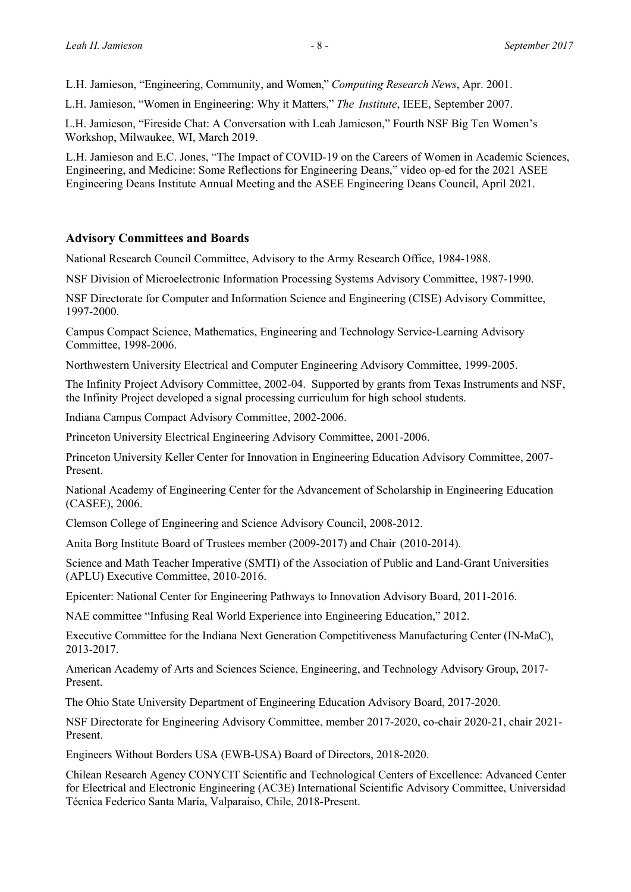L.H. Jamieson, "Engineering, Community, and Women," *Computing Research News*, Apr. 2001.

L.H. Jamieson, "Women in Engineering: Why it Matters," *The Institute*, IEEE, September 2007.

L.H. Jamieson, "Fireside Chat: A Conversation with Leah Jamieson," Fourth NSF Big Ten Women's Workshop, Milwaukee, WI, March 2019.

L.H. Jamieson and E.C. Jones, "The Impact of COVID-19 on the Careers of Women in Academic Sciences, Engineering, and Medicine: Some Reflections for Engineering Deans," video op-ed for the 2021 ASEE Engineering Deans Institute Annual Meeting and the ASEE Engineering Deans Council, April 2021.

## **Advisory Committees and Boards**

National Research Council Committee, Advisory to the Army Research Office, 1984-1988.

NSF Division of Microelectronic Information Processing Systems Advisory Committee, 1987-1990.

NSF Directorate for Computer and Information Science and Engineering (CISE) Advisory Committee, 1997-2000.

Campus Compact Science, Mathematics, Engineering and Technology Service-Learning Advisory Committee, 1998-2006.

Northwestern University Electrical and Computer Engineering Advisory Committee, 1999-2005.

The Infinity Project Advisory Committee, 2002-04. Supported by grants from Texas Instruments and NSF, the Infinity Project developed a signal processing curriculum for high school students.

Indiana Campus Compact Advisory Committee, 2002-2006.

Princeton University Electrical Engineering Advisory Committee, 2001-2006.

Princeton University Keller Center for Innovation in Engineering Education Advisory Committee, 2007- Present.

National Academy of Engineering Center for the Advancement of Scholarship in Engineering Education (CASEE), 2006.

Clemson College of Engineering and Science Advisory Council, 2008-2012.

Anita Borg Institute Board of Trustees member (2009-2017) and Chair (2010-2014).

Science and Math Teacher Imperative (SMTI) of the Association of Public and Land-Grant Universities (APLU) Executive Committee, 2010-2016.

Epicenter: National Center for Engineering Pathways to Innovation Advisory Board, 2011-2016.

NAE committee "Infusing Real World Experience into Engineering Education," 2012.

Executive Committee for the Indiana Next Generation Competitiveness Manufacturing Center (IN-MaC), 2013-2017.

American Academy of Arts and Sciences Science, Engineering, and Technology Advisory Group, 2017- Present.

The Ohio State University Department of Engineering Education Advisory Board, 2017-2020.

NSF Directorate for Engineering Advisory Committee, member 2017-2020, co-chair 2020-21, chair 2021- Present.

Engineers Without Borders USA (EWB-USA) Board of Directors, 2018-2020.

Chilean Research Agency CONYCIT Scientific and Technological Centers of Excellence: Advanced Center for Electrical and Electronic Engineering (AC3E) International Scientific Advisory Committee, Universidad Técnica Federico Santa María, Valparaiso, Chile, 2018-Present.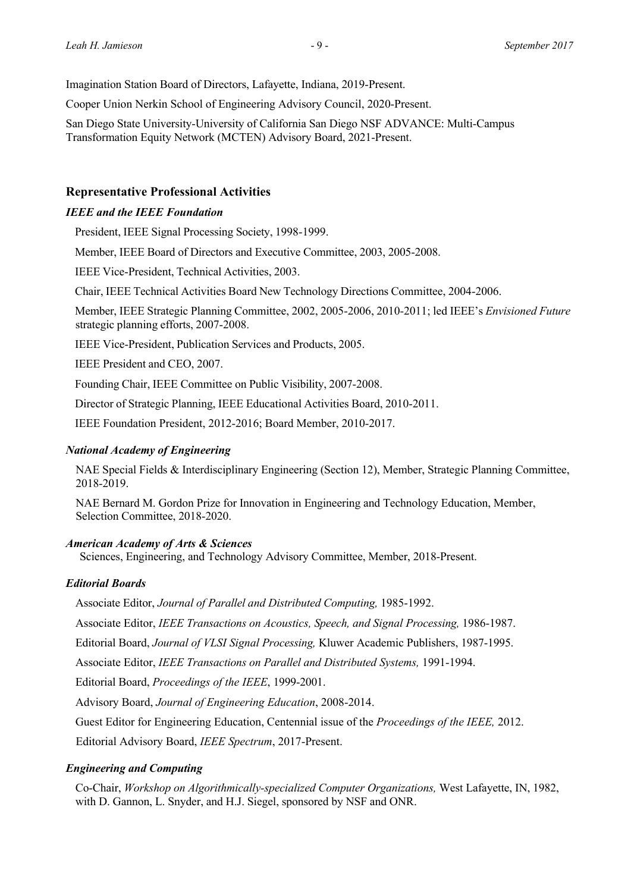Imagination Station Board of Directors, Lafayette, Indiana, 2019-Present.

Cooper Union Nerkin School of Engineering Advisory Council, 2020-Present.

San Diego State University-University of California San Diego NSF ADVANCE: Multi-Campus Transformation Equity Network (MCTEN) Advisory Board, 2021-Present.

## **Representative Professional Activities**

#### *IEEE and the IEEE Foundation*

President, IEEE Signal Processing Society, 1998-1999.

Member, IEEE Board of Directors and Executive Committee, 2003, 2005-2008.

IEEE Vice-President, Technical Activities, 2003.

Chair, IEEE Technical Activities Board New Technology Directions Committee, 2004-2006.

Member, IEEE Strategic Planning Committee, 2002, 2005-2006, 2010-2011; led IEEE's *Envisioned Future* strategic planning efforts, 2007-2008.

IEEE Vice-President, Publication Services and Products, 2005.

IEEE President and CEO, 2007.

Founding Chair, IEEE Committee on Public Visibility, 2007-2008.

Director of Strategic Planning, IEEE Educational Activities Board, 2010-2011.

IEEE Foundation President, 2012-2016; Board Member, 2010-2017.

#### *National Academy of Engineering*

NAE Special Fields & Interdisciplinary Engineering (Section 12), Member, Strategic Planning Committee, 2018-2019.

NAE Bernard M. Gordon Prize for Innovation in Engineering and Technology Education, Member, Selection Committee, 2018-2020.

#### *American Academy of Arts & Sciences*

Sciences, Engineering, and Technology Advisory Committee, Member, 2018-Present.

#### *Editorial Boards*

Associate Editor, *Journal of Parallel and Distributed Computing,* 1985-1992.

Associate Editor, *IEEE Transactions on Acoustics, Speech, and Signal Processing,* 1986-1987.

Editorial Board, *Journal of VLSI Signal Processing,* Kluwer Academic Publishers, 1987-1995.

Associate Editor, *IEEE Transactions on Parallel and Distributed Systems,* 1991-1994.

Editorial Board, *Proceedings of the IEEE*, 1999-2001.

Advisory Board, *Journal of Engineering Education*, 2008-2014.

Guest Editor for Engineering Education, Centennial issue of the *Proceedings of the IEEE,* 2012.

Editorial Advisory Board, *IEEE Spectrum*, 2017-Present.

### *Engineering and Computing*

Co-Chair, *Workshop on Algorithmically-specialized Computer Organizations,* West Lafayette, IN, 1982, with D. Gannon, L. Snyder, and H.J. Siegel, sponsored by NSF and ONR.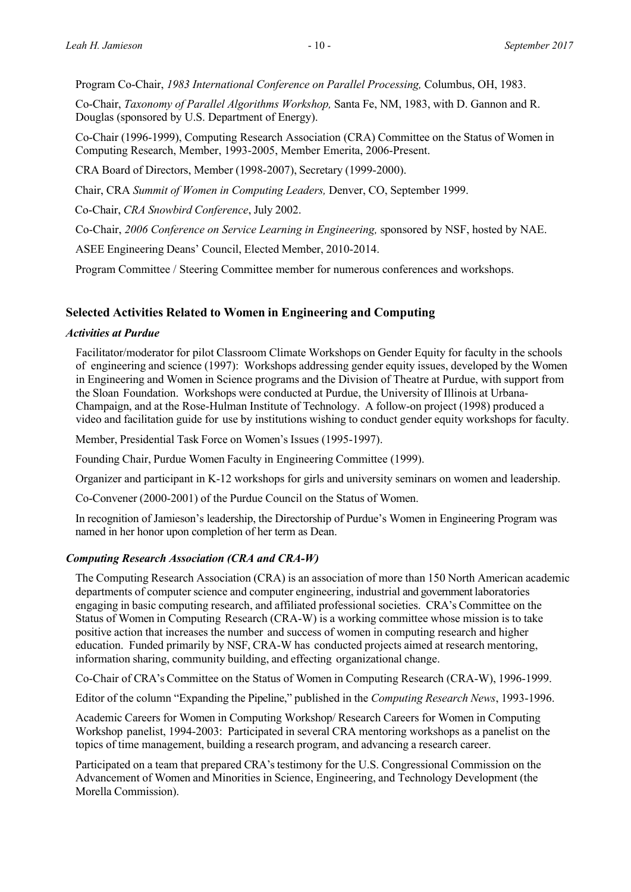Program Co-Chair, *1983 International Conference on Parallel Processing,* Columbus, OH, 1983.

Co-Chair, *Taxonomy of Parallel Algorithms Workshop,* Santa Fe, NM, 1983, with D. Gannon and R. Douglas (sponsored by U.S. Department of Energy).

Co-Chair (1996-1999), Computing Research Association (CRA) Committee on the Status of Women in Computing Research, Member, 1993-2005, Member Emerita, 2006-Present.

CRA Board of Directors, Member (1998-2007), Secretary (1999-2000).

Chair, CRA *Summit of Women in Computing Leaders,* Denver, CO, September 1999.

Co-Chair, *CRA Snowbird Conference*, July 2002.

Co-Chair, *2006 Conference on Service Learning in Engineering,* sponsored by NSF, hosted by NAE.

ASEE Engineering Deans' Council, Elected Member, 2010-2014.

Program Committee / Steering Committee member for numerous conferences and workshops.

### **Selected Activities Related to Women in Engineering and Computing**

#### *Activities at Purdue*

Facilitator/moderator for pilot Classroom Climate Workshops on Gender Equity for faculty in the schools of engineering and science (1997): Workshops addressing gender equity issues, developed by the Women in Engineering and Women in Science programs and the Division of Theatre at Purdue, with support from the Sloan Foundation. Workshops were conducted at Purdue, the University of Illinois at Urbana-Champaign, and at the Rose-Hulman Institute of Technology. A follow-on project (1998) produced a video and facilitation guide for use by institutions wishing to conduct gender equity workshops for faculty.

Member, Presidential Task Force on Women's Issues (1995-1997).

Founding Chair, Purdue Women Faculty in Engineering Committee (1999).

Organizer and participant in K-12 workshops for girls and university seminars on women and leadership.

Co-Convener (2000-2001) of the Purdue Council on the Status of Women.

In recognition of Jamieson's leadership, the Directorship of Purdue's Women in Engineering Program was named in her honor upon completion of her term as Dean.

#### *Computing Research Association (CRA and CRA-W)*

The Computing Research Association (CRA) is an association of more than 150 North American academic departments of computer science and computer engineering, industrial and government laboratories engaging in basic computing research, and affiliated professional societies. CRA's Committee on the Status of Women in Computing Research (CRA-W) is a working committee whose mission is to take positive action that increases the number and success of women in computing research and higher education. Funded primarily by NSF, CRA-W has conducted projects aimed at research mentoring, information sharing, community building, and effecting organizational change.

Co-Chair of CRA's Committee on the Status of Women in Computing Research (CRA-W), 1996-1999.

Editor of the column "Expanding the Pipeline," published in the *Computing Research News*, 1993-1996.

Academic Careers for Women in Computing Workshop/ Research Careers for Women in Computing Workshop panelist, 1994-2003: Participated in several CRA mentoring workshops as a panelist on the topics of time management, building a research program, and advancing a research career.

Participated on a team that prepared CRA's testimony for the U.S. Congressional Commission on the Advancement of Women and Minorities in Science, Engineering, and Technology Development (the Morella Commission).